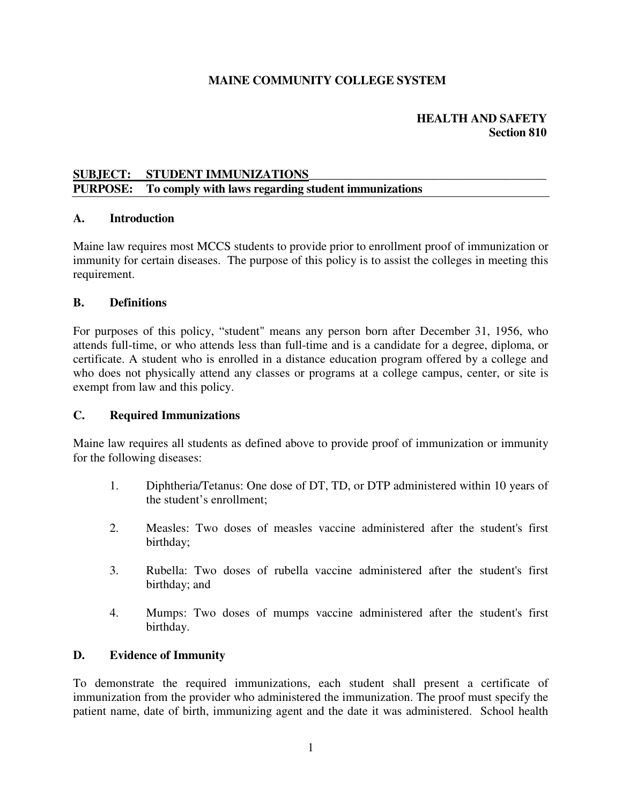## **MAINE COMMUNITY COLLEGE SYSTEM**

## **HEALTH AND SAFETY Section 810**

## SUBJECT: STUDENT IMMUNIZATIONS **PURPOSE: To comply with laws regarding student immunizations**

### **A. Introduction**

Maine law requires most MCCS students to provide prior to enrollment proof of immunization or immunity for certain diseases. The purpose of this policy is to assist the colleges in meeting this requirement.

#### **B. Definitions**

For purposes of this policy, "student" means any person born after December 31, 1956, who attends full-time, or who attends less than full-time and is a candidate for a degree, diploma, or certificate. A student who is enrolled in a distance education program offered by a college and who does not physically attend any classes or programs at a college campus, center, or site is exempt from law and this policy.

#### **C. Required Immunizations**

Maine law requires all students as defined above to provide proof of immunization or immunity for the following diseases:

- 1. Diphtheria/Tetanus: One dose of DT, TD, or DTP administered within 10 years of the student's enrollment;
- 2. Measles: Two doses of measles vaccine administered after the student's first birthday;
- 3. Rubella: Two doses of rubella vaccine administered after the student's first birthday; and
- 4. Mumps: Two doses of mumps vaccine administered after the student's first birthday.

## **D. Evidence of Immunity**

To demonstrate the required immunizations, each student shall present a certificate of immunization from the provider who administered the immunization. The proof must specify the patient name, date of birth, immunizing agent and the date it was administered. School health